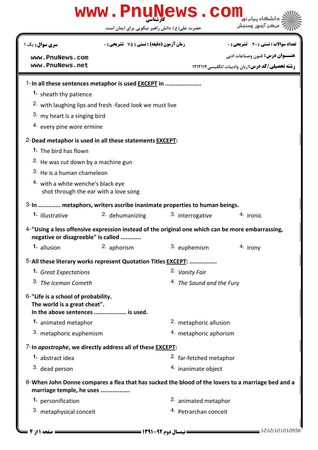| www.PnuNews.com                                                                                         |                                                                                                  |              |                                    |                                                                                                   |  |  |
|---------------------------------------------------------------------------------------------------------|--------------------------------------------------------------------------------------------------|--------------|------------------------------------|---------------------------------------------------------------------------------------------------|--|--|
|                                                                                                         | حضرت علی(ع): دانش راهبر نیکویی برای ایمان است                                                    |              |                                    | مركز آزمون وسندش                                                                                  |  |  |
| سری سوال : یک ۱                                                                                         | <b>زمان آزمون (دقیقه) : تستی : 75 ٪ تشریحی : 0</b>                                               |              |                                    | تعداد سوالات : تستي : 30 ٪ تشريحي : 0                                                             |  |  |
| www.PnuNews.com                                                                                         |                                                                                                  |              |                                    | <b>عنـــوان درس:</b> فنون وصناعات ادبي                                                            |  |  |
| www.PnuNews.net                                                                                         |                                                                                                  |              |                                    | <b>رشته تحصیلی/کد درس:</b> زبان وادبیات انگلیسی ۱۲۱۲۱۱۴                                           |  |  |
|                                                                                                         | 1-In all these sentences metaphor is used <b>EXCEPT</b> in                                       |              |                                    |                                                                                                   |  |  |
| 1. sheath thy patience                                                                                  |                                                                                                  |              |                                    |                                                                                                   |  |  |
| <sup>2.</sup> with laughing lips and fresh -faced look we must live                                     |                                                                                                  |              |                                    |                                                                                                   |  |  |
| 3. my heart is a singing bird                                                                           |                                                                                                  |              |                                    |                                                                                                   |  |  |
|                                                                                                         | 4. every pine wore ermine                                                                        |              |                                    |                                                                                                   |  |  |
| 2-Dead metaphor is used in all these statements <b>EXCEPT</b> :                                         |                                                                                                  |              |                                    |                                                                                                   |  |  |
| <b>1.</b> The bird has flown                                                                            |                                                                                                  |              |                                    |                                                                                                   |  |  |
| <sup>2.</sup> He was cut down by a machine gun                                                          |                                                                                                  |              |                                    |                                                                                                   |  |  |
| 3. He is a human chameleon                                                                              |                                                                                                  |              |                                    |                                                                                                   |  |  |
| 4. with a white wenche's black eye<br>shot through the ear with a love song                             |                                                                                                  |              |                                    |                                                                                                   |  |  |
| 3-In  metaphors, writers ascribe inanimate properties to human beings.                                  |                                                                                                  |              |                                    |                                                                                                   |  |  |
| 1. illustrative                                                                                         | 2. dehumanizing                                                                                  |              | 3. interrogative                   | 4. ironic                                                                                         |  |  |
| negative or disagreeble" is called                                                                      | 4-"Using a less offensive expression instead of the original one which can be more embarrassing, |              |                                    |                                                                                                   |  |  |
| 1. allusion                                                                                             | 2. aphorism                                                                                      | 3. euphemism |                                    | 4. irony                                                                                          |  |  |
|                                                                                                         | 5-All these literary works represent Quotation Titles <b>EXCEPT:</b>                             |              |                                    |                                                                                                   |  |  |
| 1. Great Expectations                                                                                   |                                                                                                  |              | 2. Vanity Fair                     |                                                                                                   |  |  |
| 3. The Iceman Cometh                                                                                    |                                                                                                  |              | 4. The Sound and the Fury          |                                                                                                   |  |  |
| 6-"Life is a school of probability.<br>The world is a great cheat".<br>In the above sentences  is used. |                                                                                                  |              |                                    |                                                                                                   |  |  |
| 1. animated metaphor                                                                                    |                                                                                                  |              | 2. metaphoric allusion             |                                                                                                   |  |  |
| 3. metaphoric euphemism                                                                                 |                                                                                                  |              | 4. metaphoric aphorism             |                                                                                                   |  |  |
|                                                                                                         | 7-In apostrophe, we directly address all of these <b>EXCEPT</b> :                                |              |                                    |                                                                                                   |  |  |
| <sup>1.</sup> abstract idea                                                                             |                                                                                                  |              | <sup>2.</sup> far-fetched metaphor |                                                                                                   |  |  |
| 3. dead person                                                                                          |                                                                                                  |              | 4. inanimate object                |                                                                                                   |  |  |
| marriage temple, he uses                                                                                |                                                                                                  |              |                                    | 8-When John Donne compares a flea that has sucked the blood of the lovers to a marriage bed and a |  |  |
| 1. personification                                                                                      |                                                                                                  |              | 2. animated metaphor               |                                                                                                   |  |  |
| 3. metaphysical conceit                                                                                 |                                                                                                  |              | 4. Petrarchan conceit              |                                                                                                   |  |  |
|                                                                                                         |                                                                                                  |              |                                    |                                                                                                   |  |  |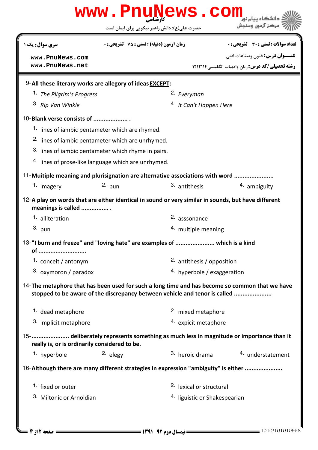|                                       |                                                                               | حضرت علی(ع): دانش راهبر نیکویی برای ایمان است | مركز آزمون وسنجش                                                                                                                                                                                              |  |
|---------------------------------------|-------------------------------------------------------------------------------|-----------------------------------------------|---------------------------------------------------------------------------------------------------------------------------------------------------------------------------------------------------------------|--|
| سری سوال: یک ۱                        | <b>زمان آزمون (دقیقه) : تستی : 75 ٪ تشریحی : 0</b>                            |                                               | تعداد سوالات : تستى : 30 ٪ تشريحي : 0                                                                                                                                                                         |  |
| www.PnuNews.com                       |                                                                               |                                               | <b>عنـــوان درس:</b> فنون وصناعات ادبي                                                                                                                                                                        |  |
| www.PnuNews.net                       |                                                                               |                                               | <b>رشته تحصیلی/کد درس:</b> زبان وادبیات انگلیسی ۱۲۱۲۱۱۴                                                                                                                                                       |  |
|                                       | 9-All these literary works are allegory of ideas <b>EXCEPT</b> :              |                                               |                                                                                                                                                                                                               |  |
| 1. The Pilgrim's Progress             |                                                                               | <sup>2.</sup> Everyman                        |                                                                                                                                                                                                               |  |
| <sup>3.</sup> Rip Van Winkle          |                                                                               |                                               | <sup>4.</sup> It Can't Happen Here                                                                                                                                                                            |  |
| 10-Blank verse consists of            |                                                                               |                                               |                                                                                                                                                                                                               |  |
|                                       | 1. lines of iambic pentameter which are rhymed.                               |                                               |                                                                                                                                                                                                               |  |
|                                       | <sup>2.</sup> lines of iambic pentameter which are unrhymed.                  |                                               |                                                                                                                                                                                                               |  |
|                                       | 3. lines of iambic pentameter which rhyme in pairs.                           |                                               |                                                                                                                                                                                                               |  |
|                                       | <sup>4.</sup> lines of prose-like language which are unrhymed.                |                                               |                                                                                                                                                                                                               |  |
|                                       | 11-Muitiple meaning and plurisignation are alternative associations with word |                                               |                                                                                                                                                                                                               |  |
| 1. imagery                            | $2.$ pun                                                                      | 3. antithesis                                 | 4. ambiguity                                                                                                                                                                                                  |  |
| meanings is called<br>1. alliteration |                                                                               | 2. asssonance                                 | 12-A play on words that are either identical in sound or very similar in sounds, but have different                                                                                                           |  |
| $3.$ pun                              |                                                                               | 4. multiple meaning                           |                                                                                                                                                                                                               |  |
|                                       |                                                                               |                                               |                                                                                                                                                                                                               |  |
|                                       | 13-"I burn and freeze" and "loving hate" are examples of  which is a kind     |                                               |                                                                                                                                                                                                               |  |
| of                                    |                                                                               |                                               |                                                                                                                                                                                                               |  |
| 1. conceit / antonym                  |                                                                               | 2. antithesis / opposition                    |                                                                                                                                                                                                               |  |
| 3. oxymoron / paradox                 |                                                                               | 4. hyperbole / exaggeration                   |                                                                                                                                                                                                               |  |
|                                       | stopped to be aware of the discrepancy between vehicle and tenor is called    |                                               |                                                                                                                                                                                                               |  |
| 1. dead metaphore                     |                                                                               | 2. mixed metaphore                            |                                                                                                                                                                                                               |  |
| 3. implicit metaphore                 |                                                                               | 4. expicit metaphore                          |                                                                                                                                                                                                               |  |
|                                       | really is, or is ordinarily considered to be.                                 |                                               |                                                                                                                                                                                                               |  |
| 1. hyperbole                          | 2. elegy                                                                      | <sup>3.</sup> heroic drama                    | 14-The metaphore that has been used for such a long time and has become so common that we have<br>15-  deliberately represents something as much less in magnitude or importance than it<br>4. understatement |  |
|                                       |                                                                               |                                               | 16-Although there are many different strategies in expression "ambiguity" is either                                                                                                                           |  |
| 1. fixed or outer                     |                                                                               | 2. lexical or structural                      |                                                                                                                                                                                                               |  |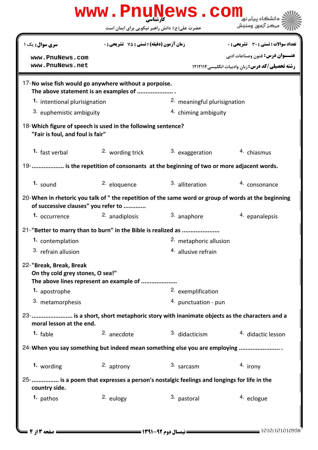| www.PnuNews.com                                                                                                                             |                                                                                                |                                |                                                         |  |  |  |
|---------------------------------------------------------------------------------------------------------------------------------------------|------------------------------------------------------------------------------------------------|--------------------------------|---------------------------------------------------------|--|--|--|
|                                                                                                                                             | حضرت علی(ع): دانش راهبر نیکویی برای ایمان است                                                  |                                | مركز آزمون وسنجش                                        |  |  |  |
| <b>سری سوال :</b> یک ۱                                                                                                                      | <b>زمان آزمون (دقیقه) : تستی : 75 ٪ تشریحی : 0</b>                                             |                                | <b>تعداد سوالات : تستي : 30 ٪ تشريحي : 0</b>            |  |  |  |
| www.PnuNews.com                                                                                                                             |                                                                                                |                                | <b>عنـــوان درس:</b> فنون وصناعات ادبي                  |  |  |  |
| www.PnuNews.net                                                                                                                             |                                                                                                |                                | <b>رشته تحصیلی/کد درس:</b> زبان وادبیات انگلیسی ۱۲۱۲۱۱۴ |  |  |  |
|                                                                                                                                             | 17-No wise fish would go anywhere without a porpoise.<br>The above statement is an examples of |                                |                                                         |  |  |  |
| 1. intentional plurisignation                                                                                                               |                                                                                                | 2. meaningful plurisignation   |                                                         |  |  |  |
| 3. euphemistic ambiguity                                                                                                                    |                                                                                                | 4. chiming ambiguity           |                                                         |  |  |  |
| 18-Which figure of speech is used in the following sentence?<br>"Fair is foul, and foul is fair"                                            |                                                                                                |                                |                                                         |  |  |  |
| 1. fast verbal                                                                                                                              | 2. wording trick                                                                               | 3. exaggeration                | <sup>4</sup> chiasmus                                   |  |  |  |
| 19-  is the repetition of consonants at the beginning of two or more adjacent words.                                                        |                                                                                                |                                |                                                         |  |  |  |
| $1.$ sound                                                                                                                                  | 2. eloquence                                                                                   | 3. alliteration                | 4. consonance                                           |  |  |  |
| 20-When in rhetoric you talk of " the repetition of the same word or group of words at the beginning<br>of successive clauses" you refer to |                                                                                                |                                |                                                         |  |  |  |
| 1. occurrence                                                                                                                               | 2. anadiplosis                                                                                 | 3. anaphore                    | 4. epanalepsis                                          |  |  |  |
| 21-"Better to marry than to burn" in the Bible is realized as                                                                               |                                                                                                |                                |                                                         |  |  |  |
| 1. contemplation                                                                                                                            |                                                                                                | 2. metaphoric allusion         |                                                         |  |  |  |
| 3. refrain allusion                                                                                                                         |                                                                                                | <sup>4.</sup> allusive refrain |                                                         |  |  |  |
| 22-"Break, Break, Break<br>On thy cold grey stones, O sea!"                                                                                 | The above lines represent an example of                                                        |                                |                                                         |  |  |  |
| 1. apostrophe                                                                                                                               |                                                                                                | 2. exemplification             |                                                         |  |  |  |
| 3. metamorphesis                                                                                                                            |                                                                                                | 4. punctuation - pun           |                                                         |  |  |  |
| moral lesson at the end.                                                                                                                    | 23-  is a short, short metaphoric story with inanimate objects as the characters and a         |                                |                                                         |  |  |  |
| 1. fable                                                                                                                                    | 2. anecdote                                                                                    | 3. didacticism                 | 4. didactic lesson                                      |  |  |  |
| 24-When you say something but indeed mean something else you are employing                                                                  |                                                                                                |                                |                                                         |  |  |  |
| 1. wording                                                                                                                                  | 2. aptrony                                                                                     | 3. sarcasm                     | 4. irony                                                |  |  |  |
| country side.                                                                                                                               | 25- is a poem that expresses a person's nostalgic feelings and longings for life in the        |                                |                                                         |  |  |  |
| 1. pathos                                                                                                                                   | 2. eulogy                                                                                      | 3. pastoral                    | 4. eclogue                                              |  |  |  |
|                                                                                                                                             |                                                                                                |                                |                                                         |  |  |  |